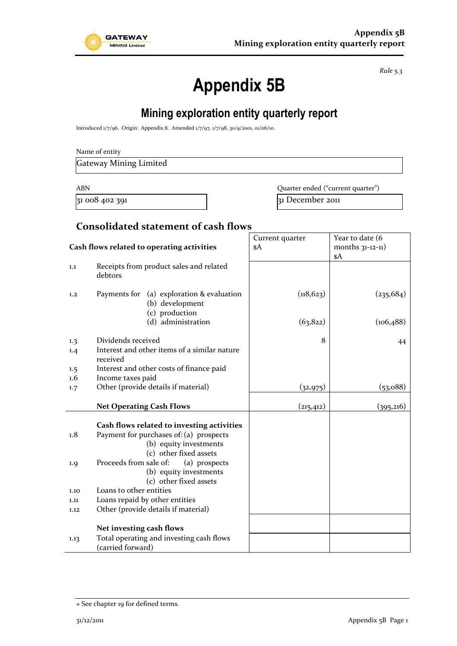

*Rule 5.3*

# **Appendix 5B**

# **Mining exploration entity quarterly report**

Introduced 1/7/96. Origin: Appendix 8. Amended 1/7/97, 1/7/98, 30/9/2001, 01/06/10.

| Name of entity |  |  |
|----------------|--|--|
|----------------|--|--|

Gateway Mining Limited

ABN **ABN** Quarter ended ("current quarter")

31 008 402 391 31 31 December 2011

#### **Consolidated statement of cash flows**

|                                            |                                                                                                                                                                                      | Current quarter | Year to date (6     |
|--------------------------------------------|--------------------------------------------------------------------------------------------------------------------------------------------------------------------------------------|-----------------|---------------------|
| Cash flows related to operating activities |                                                                                                                                                                                      | \$A             | months $31-12-11$ ) |
| 1.1                                        | Receipts from product sales and related<br>debtors                                                                                                                                   |                 | \$A                 |
| 1,2                                        | Payments for (a) exploration & evaluation<br>(b) development<br>(c) production                                                                                                       | (118, 623)      | (235, 684)          |
|                                            | (d) administration                                                                                                                                                                   | (63, 822)       | (106, 488)          |
| 1.3                                        | Dividends received                                                                                                                                                                   | 8               | 44                  |
| 1.4                                        | Interest and other items of a similar nature<br>received                                                                                                                             |                 |                     |
| 1.5                                        | Interest and other costs of finance paid                                                                                                                                             |                 |                     |
| $1.6\phantom{0}$                           | Income taxes paid                                                                                                                                                                    |                 |                     |
| 1.7                                        | Other (provide details if material)                                                                                                                                                  | (32, 975)       | (53,088)            |
|                                            | <b>Net Operating Cash Flows</b>                                                                                                                                                      | (215, 412)      | (395,216)           |
| 1.8<br>1.9                                 | Cash flows related to investing activities<br>Payment for purchases of: (a) prospects<br>(b) equity investments<br>(c) other fixed assets<br>Proceeds from sale of:<br>(a) prospects |                 |                     |
|                                            | (b) equity investments<br>(c) other fixed assets                                                                                                                                     |                 |                     |
| 1.10                                       | Loans to other entities                                                                                                                                                              |                 |                     |
| 1.11                                       | Loans repaid by other entities                                                                                                                                                       |                 |                     |
| 1.12                                       | Other (provide details if material)                                                                                                                                                  |                 |                     |
|                                            | Net investing cash flows                                                                                                                                                             |                 |                     |
| 1.13                                       | Total operating and investing cash flows<br>(carried forward)                                                                                                                        |                 |                     |

<sup>+</sup> See chapter 19 for defined terms.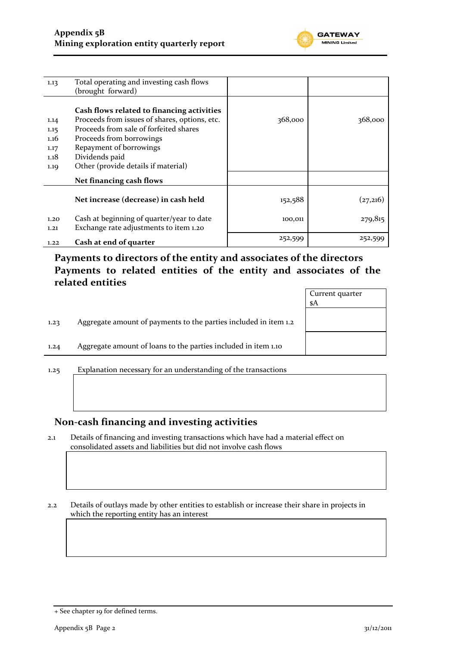

| 1.13 | Total operating and investing cash flows      |         |          |
|------|-----------------------------------------------|---------|----------|
|      | (brought forward)                             |         |          |
|      | Cash flows related to financing activities    |         |          |
| 1.14 | Proceeds from issues of shares, options, etc. | 368,000 | 368,000  |
| 1.15 | Proceeds from sale of forfeited shares        |         |          |
| 1.16 | Proceeds from borrowings                      |         |          |
| 1.17 | Repayment of borrowings                       |         |          |
| 1.18 | Dividends paid                                |         |          |
| 1.19 | Other (provide details if material)           |         |          |
|      | Net financing cash flows                      |         |          |
|      | Net increase (decrease) in cash held          | 152,588 | (27,216) |
| 1.20 | Cash at beginning of quarter/year to date     | 100,011 | 279,815  |
| 1,21 | Exchange rate adjustments to item 1.20        |         |          |
| 1.22 | Cash at end of quarter                        | 252,599 | 252,599  |

**Payments to directors of the entity and associates of the directors Payments to related entities of the entity and associates of the related entities**

|      |                                                                  | Current quarter<br>\$A |
|------|------------------------------------------------------------------|------------------------|
| 1.23 | Aggregate amount of payments to the parties included in item 1.2 |                        |
| 1.24 | Aggregate amount of loans to the parties included in item 1.10   |                        |
|      |                                                                  |                        |

1.25 Explanation necessary for an understanding of the transactions

#### **Non-cash financing and investing activities**

2.1 Details of financing and investing transactions which have had a material effect on consolidated assets and liabilities but did not involve cash flows

2.2 Details of outlays made by other entities to establish or increase their share in projects in which the reporting entity has an interest

<sup>+</sup> See chapter 19 for defined terms.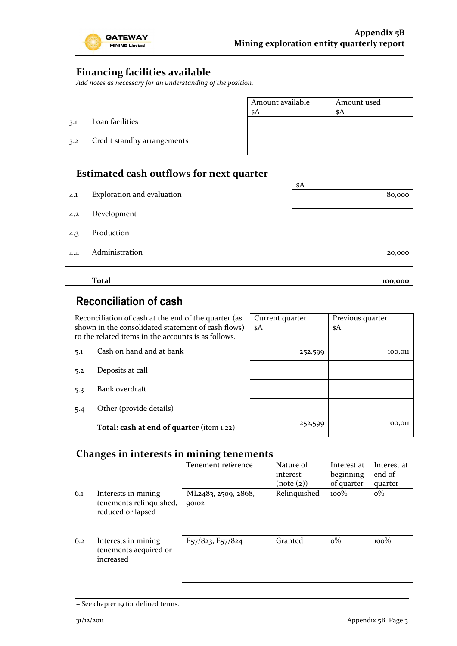

### **Financing facilities available**

*Add notes as necessary for an understanding of the position.*

|     |                             | Amount available<br>\$A | Amount used<br>\$A |
|-----|-----------------------------|-------------------------|--------------------|
| 3.1 | Loan facilities             |                         |                    |
| 3.2 | Credit standby arrangements |                         |                    |

## **Estimated cash outflows for next quarter**

|     |                            | \$A     |  |  |
|-----|----------------------------|---------|--|--|
| 4.1 | Exploration and evaluation | 80,000  |  |  |
|     |                            |         |  |  |
| 4.2 | Development                |         |  |  |
|     |                            |         |  |  |
| 4.3 | Production                 |         |  |  |
|     | Administration             |         |  |  |
| 4.4 |                            | 20,000  |  |  |
|     |                            |         |  |  |
|     | <b>Total</b>               | 100,000 |  |  |

# **Reconciliation of cash**

| Reconciliation of cash at the end of the quarter (as<br>shown in the consolidated statement of cash flows)<br>to the related items in the accounts is as follows. |                                           | Current quarter<br>\$A | Previous quarter<br>\$A |
|-------------------------------------------------------------------------------------------------------------------------------------------------------------------|-------------------------------------------|------------------------|-------------------------|
| 5.1                                                                                                                                                               | Cash on hand and at bank                  | 252,599                | 100,011                 |
| 5.2                                                                                                                                                               | Deposits at call                          |                        |                         |
| 5.3                                                                                                                                                               | Bank overdraft                            |                        |                         |
| 5.4                                                                                                                                                               | Other (provide details)                   |                        |                         |
|                                                                                                                                                                   | Total: cash at end of quarter (item 1.22) | 252,599                | 100,011                 |

#### **Changes in interests in mining tenements**

|     |                                                                     | Tenement reference           | Nature of    | Interest at | Interest at |
|-----|---------------------------------------------------------------------|------------------------------|--------------|-------------|-------------|
|     |                                                                     |                              | interest     | beginning   | end of      |
|     |                                                                     |                              | (note (2))   | of quarter  | quarter     |
| 6.1 | Interests in mining<br>tenements relinquished,<br>reduced or lapsed | ML2483, 2509, 2868,<br>90102 | Relinquished | $100\%$     | $o\%$       |
| 6.2 | Interests in mining<br>tenements acquired or<br>increased           | E57/823, E57/824             | Granted      | $o\%$       | $100\%$     |

<sup>+</sup> See chapter 19 for defined terms.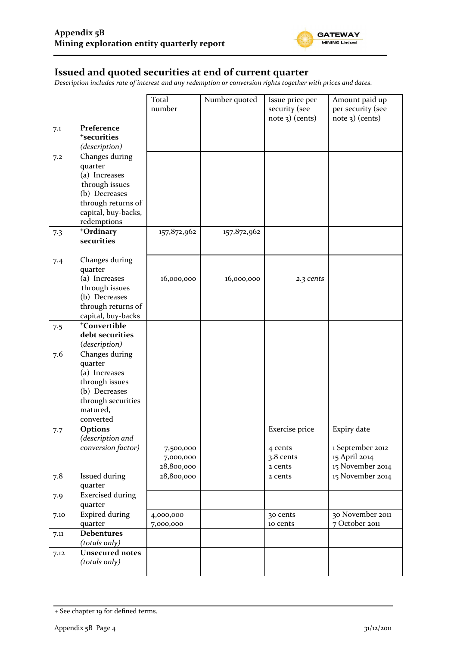

## **Issued and quoted securities at end of current quarter**

*Description includes rate of interest and any redemption or conversion rights together with prices and dates.*

|      |                                 | Total       | Number quoted | Issue price per   | Amount paid up    |
|------|---------------------------------|-------------|---------------|-------------------|-------------------|
|      |                                 | number      |               | security (see     | per security (see |
|      |                                 |             |               | $note$ 3) (cents) | note 3) (cents)   |
| 7.1  | Preference                      |             |               |                   |                   |
|      | <sup>+</sup> securities         |             |               |                   |                   |
|      | (description)                   |             |               |                   |                   |
| 7.2  | Changes during                  |             |               |                   |                   |
|      | quarter                         |             |               |                   |                   |
|      | (a) Increases                   |             |               |                   |                   |
|      | through issues                  |             |               |                   |                   |
|      | (b) Decreases                   |             |               |                   |                   |
|      | through returns of              |             |               |                   |                   |
|      | capital, buy-backs,             |             |               |                   |                   |
|      | redemptions                     |             |               |                   |                   |
| 7.3  | +Ordinary                       | 157,872,962 | 157,872,962   |                   |                   |
|      | securities                      |             |               |                   |                   |
|      |                                 |             |               |                   |                   |
| 7.4  | Changes during                  |             |               |                   |                   |
|      | quarter                         |             |               |                   |                   |
|      | (a) Increases                   | 16,000,000  | 16,000,000    | 2.3 cents         |                   |
|      | through issues                  |             |               |                   |                   |
|      | (b) Decreases                   |             |               |                   |                   |
|      | through returns of              |             |               |                   |                   |
|      | capital, buy-backs              |             |               |                   |                   |
| 7.5  | <sup>+</sup> Convertible        |             |               |                   |                   |
|      | debt securities                 |             |               |                   |                   |
|      | (description)                   |             |               |                   |                   |
| 7.6  | Changes during                  |             |               |                   |                   |
|      | quarter                         |             |               |                   |                   |
|      | (a) Increases                   |             |               |                   |                   |
|      | through issues<br>(b) Decreases |             |               |                   |                   |
|      | through securities              |             |               |                   |                   |
|      | matured,                        |             |               |                   |                   |
|      | converted                       |             |               |                   |                   |
|      | <b>Options</b>                  |             |               | Exercise price    | Expiry date       |
| 7.7  | (description and                |             |               |                   |                   |
|      | conversion factor)              | 7,500,000   |               | 4 cents           | 1 September 2012  |
|      |                                 | 7,000,000   |               | 3.8 cents         | 15 April 2014     |
|      |                                 | 28,800,000  |               | 2 cents           | 15 November 2014  |
| 7.8  | <b>Issued during</b>            | 28,800,000  |               | 2 cents           | 15 November 2014  |
|      | quarter                         |             |               |                   |                   |
| 7.9  | <b>Exercised during</b>         |             |               |                   |                   |
|      | quarter                         |             |               |                   |                   |
| 7.10 | <b>Expired during</b>           | 4,000,000   |               | 30 cents          | 30 November 2011  |
|      | quarter                         | 7,000,000   |               | 10 cents          | 7 October 2011    |
| 7.11 | <b>Debentures</b>               |             |               |                   |                   |
|      | (totals only)                   |             |               |                   |                   |
| 7.12 | <b>Unsecured notes</b>          |             |               |                   |                   |
|      | (totals only)                   |             |               |                   |                   |
|      |                                 |             |               |                   |                   |

<sup>+</sup> See chapter 19 for defined terms.